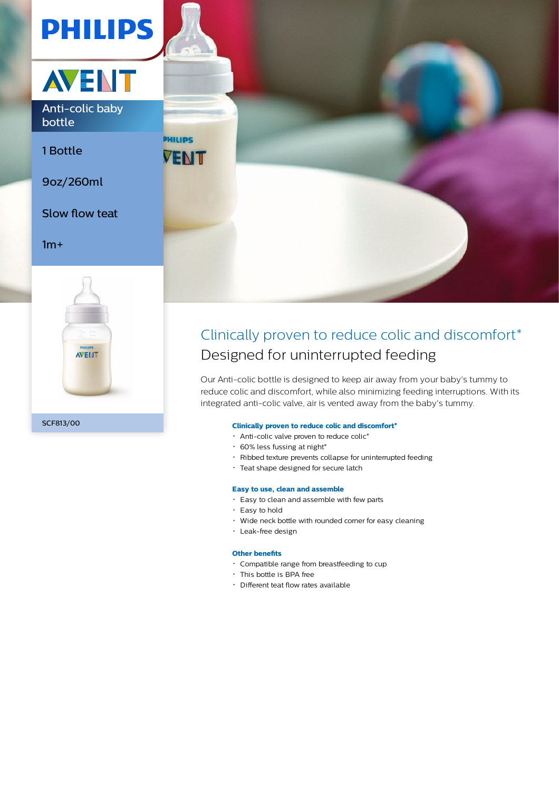



Anti-colic baby bottle

1 Bottle

9oz/260ml

Slow flow teat

 $1m+$ 





# Clinically proven to reduce colic and discomfort\* Designed for uninterrupted feeding

Our Anti-colic bottle is designed to keep air away from your baby's tummy to reduce colic and discomfort, while also minimizing feeding interruptions. With its integrated anti-colic valve, air is vented away from the baby's tummy.

# **Clinically proven to reduce colic and discomfort\***

- Anti-colic valve proven to reduce colic\*
- $\cdot$  60% less fussing at night\*
- Ribbed texture prevents collapse for uninterrupted feeding
- Teat shape designed for secure latch

#### **Easy to use, clean and assemble**

- Easy to clean and assemble with few parts
- Easy to hold
- Wide neck bottle with rounded corner for easy cleaning
- Leak-free design

# **Other benefits**

- Compatible range from breastfeeding to cup
- This bottle is BPA free
- Different teat flow rates available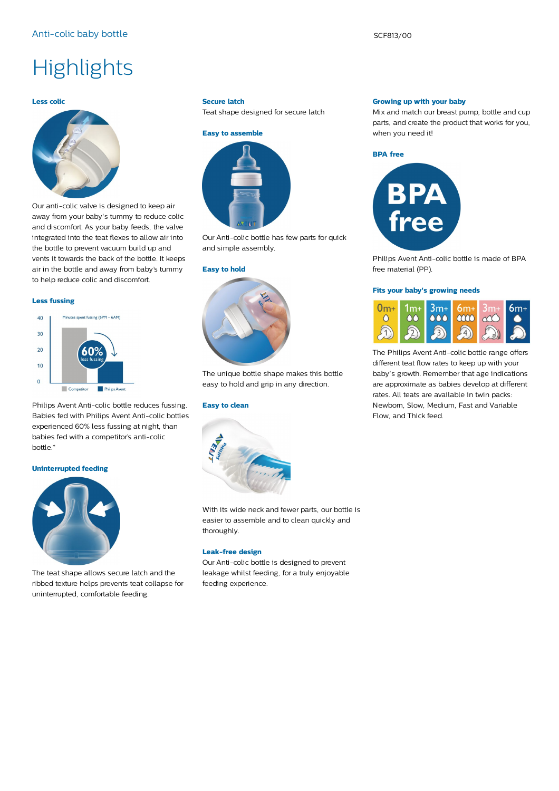# **Highlights**

### **Less colic**



Our anti-colic valve is designed to keep air away from your baby's tummy to reduce colic and discomfort. As your baby feeds, the valve integrated into the teat flexes to allow air into the bottle to prevent vacuum build up and vents it towards the back of the bottle. It keeps air in the bottle and away from baby's tummy to help reduce colic and discomfort.

#### **Less fussing**

# Minutes spent fussing (6PM - 6AM)  $40$  $30$  $20$  $10$  $\Omega$  $\Box$  Co **Philips Avent**

Philips Avent Anti-colic bottle reduces fussing. Babies fed with Philips Avent Anti-colic bottles experienced 60% less fussing at night, than babies fed with a competitor's anti-colic bottle.\*

#### **Uninterrupted feeding**



The teat shape allows secure latch and the ribbed texture helps prevents teat collapse for uninterrupted, comfortable feeding.

#### **Secure latch**

Teat shape designed for secure latch



Our Anti-colic bottle has few parts for quick and simple assembly.

#### **Easy to hold**



The unique bottle shape makes this bottle easy to hold and grip in any direction.

### **Easy to clean**



With its wide neck and fewer parts, our bottle is easier to assemble and to clean quickly and thoroughly.

# **Leak-free design**

Our Anti-colic bottle is designed to prevent leakage whilst feeding, for a truly enjoyable feeding experience.

#### **Growing up with your baby**

Mix and match our breast pump, bottle and cup parts, and create the product that works for you, when you need it!





Philips Avent Anti-colic bottle is made of BPA free material (PP).

#### **Fits your baby's growing needs**



The Philips Avent Anti-colic bottle range offers different teat flow rates to keep up with your baby's growth. Remember that age indications are approximate as babies develop at different rates. All teats are available in twin packs: Newborn, Slow, Medium, Fast and Variable Flow, and Thick feed.